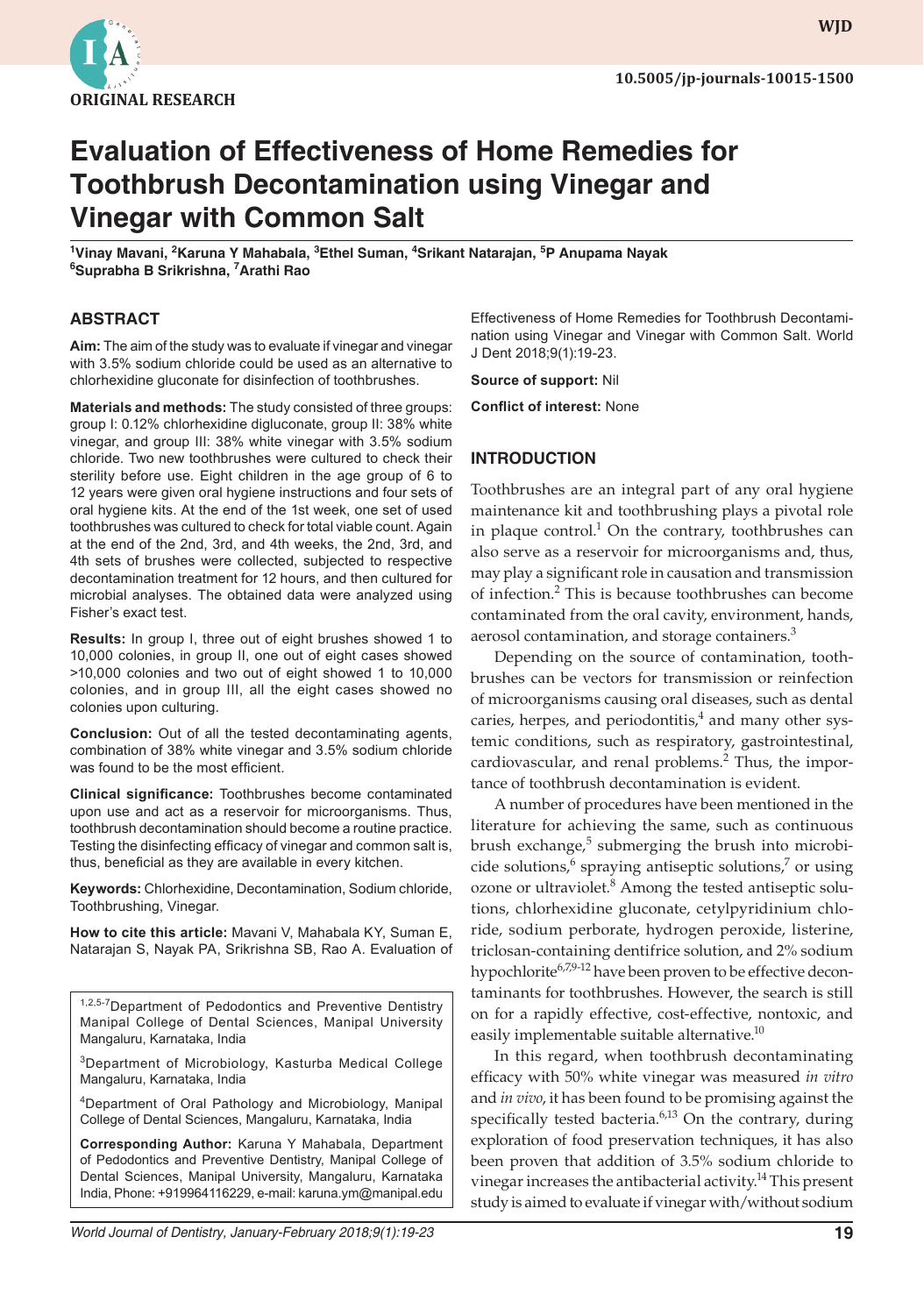

**wjd WJD**

# **Evaluation of Effectiveness of Home Remedies for Toothbrush Decontamination using Vinegar and Vinegar with Common Salt**

<sup>1</sup>Vinay Mavani, <sup>2</sup>Karuna Y Mahabala, <sup>3</sup>Ethel Suman, <sup>4</sup>Srikant Natarajan, <sup>5</sup>P Anupama Nayak **6 Suprabha B Srikrishna, 7 Arathi Rao**

#### **ABSTRACT**

**Aim:** The aim of the study was to evaluate if vinegar and vinegar with 3.5% sodium chloride could be used as an alternative to chlorhexidine gluconate for disinfection of toothbrushes.

**Materials and methods:** The study consisted of three groups: group I: 0.12% chlorhexidine digluconate, group II: 38% white vinegar, and group III: 38% white vinegar with 3.5% sodium chloride. Two new toothbrushes were cultured to check their sterility before use. Eight children in the age group of 6 to 12 years were given oral hygiene instructions and four sets of oral hygiene kits. At the end of the 1st week, one set of used toothbrushes was cultured to check for total viable count. Again at the end of the 2nd, 3rd, and 4th weeks, the 2nd, 3rd, and 4th sets of brushes were collected, subjected to respective decontamination treatment for 12 hours, and then cultured for microbial analyses. The obtained data were analyzed using Fisher's exact test.

**Results:** In group I, three out of eight brushes showed 1 to 10,000 colonies, in group II, one out of eight cases showed >10,000 colonies and two out of eight showed 1 to 10,000 colonies, and in group III, all the eight cases showed no colonies upon culturing.

**Conclusion:** Out of all the tested decontaminating agents, combination of 38% white vinegar and 3.5% sodium chloride was found to be the most efficient.

**Clinical significance:** Toothbrushes become contaminated upon use and act as a reservoir for microorganisms. Thus, toothbrush decontamination should become a routine practice. Testing the disinfecting efficacy of vinegar and common salt is, thus, beneficial as they are available in every kitchen.

**Keywords:** Chlorhexidine, Decontamination, Sodium chloride, Toothbrushing, Vinegar.

**How to cite this article:** Mavani V, Mahabala KY, Suman E, Natarajan S, Nayak PA, Srikrishna SB, Rao A. Evaluation of

1,2,5-7 Department of Pedodontics and Preventive Dentistry Manipal College of Dental Sciences, Manipal University Mangaluru, Karnataka, India

3Department of Microbiology, Kasturba Medical College Mangaluru, Karnataka, India

4Department of Oral Pathology and Microbiology, Manipal College of Dental Sciences, Mangaluru, Karnataka, India

**Corresponding Author:** Karuna Y Mahabala, Department of Pedodontics and Preventive Dentistry, Manipal College of Dental Sciences, Manipal University, Mangaluru, Karnataka India, Phone: +919964116229, e-mail: karuna.ym@manipal.edu

Effectiveness of Home Remedies for Toothbrush Decontamination using Vinegar and Vinegar with Common Salt. World J Dent 2018;9(1):19-23.

**Source of support:** Nil

**Conflict of interest:** None

#### **INTRODUCTION**

Toothbrushes are an integral part of any oral hygiene maintenance kit and toothbrushing plays a pivotal role in plaque control.<sup>1</sup> On the contrary, toothbrushes can also serve as a reservoir for microorganisms and, thus, may play a significant role in causation and transmission of infection.<sup>2</sup> This is because toothbrushes can become contaminated from the oral cavity, environment, hands, aerosol contamination, and storage containers.<sup>3</sup>

Depending on the source of contamination, toothbrushes can be vectors for transmission or reinfection of microorganisms causing oral diseases, such as dental caries, herpes, and periodontitis,<sup>4</sup> and many other systemic conditions, such as respiratory, gastrointestinal, cardiovascular, and renal problems.<sup>2</sup> Thus, the importance of toothbrush decontamination is evident.

A number of procedures have been mentioned in the literature for achieving the same, such as continuous brush exchange,<sup>5</sup> submerging the brush into microbicide solutions,<sup>6</sup> spraying antiseptic solutions,<sup>7</sup> or using ozone or ultraviolet.<sup>8</sup> Among the tested antiseptic solutions, chlorhexidine gluconate, cetylpyridinium chloride, sodium perborate, hydrogen peroxide, listerine, triclosan-containing dentifrice solution, and 2% sodium hypochlorite<sup>6,7,9-12</sup> have been proven to be effective decontaminants for toothbrushes. However, the search is still on for a rapidly effective, cost-effective, nontoxic, and easily implementable suitable alternative.<sup>10</sup>

In this regard, when toothbrush decontaminating efficacy with 50% white vinegar was measured *in vitro* and *in vivo*, it has been found to be promising against the specifically tested bacteria. $6,13$  On the contrary, during exploration of food preservation techniques, it has also been proven that addition of 3.5% sodium chloride to vinegar increases the antibacterial activity.<sup>14</sup> This present study is aimed to evaluate if vinegar with/without sodium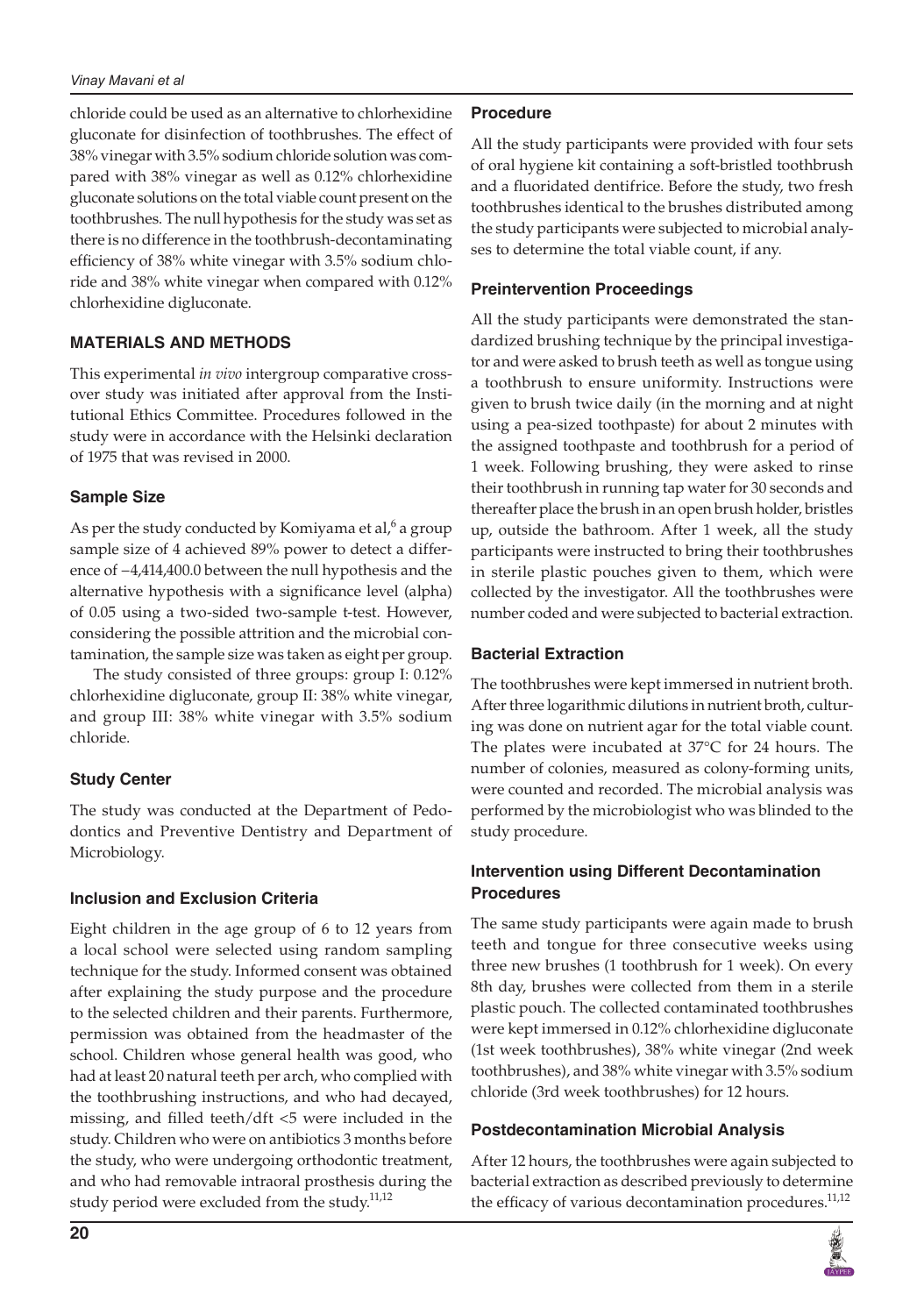#### *Vinay Mavani et al*

chloride could be used as an alternative to chlorhexidine gluconate for disinfection of toothbrushes. The effect of 38% vinegar with 3.5% sodium chloride solution was compared with 38% vinegar as well as 0.12% chlorhexidine gluconate solutions on the total viable count present on the toothbrushes. The null hypothesis for the study was set as there is no difference in the toothbrush-decontaminating efficiency of 38% white vinegar with 3.5% sodium chloride and 38% white vinegar when compared with 0.12% chlorhexidine digluconate.

## **MATERIALS AND METHODS**

This experimental *in vivo* intergroup comparative crossover study was initiated after approval from the Institutional Ethics Committee. Procedures followed in the study were in accordance with the Helsinki declaration of 1975 that was revised in 2000.

## **Sample Size**

As per the study conducted by Komiyama et al, $^6$  a group sample size of 4 achieved 89% power to detect a difference of −4,414,400.0 between the null hypothesis and the alternative hypothesis with a significance level (alpha) of 0.05 using a two-sided two-sample t-test. However, considering the possible attrition and the microbial contamination, the sample size was taken as eight per group.

The study consisted of three groups: group I: 0.12% chlorhexidine digluconate, group II: 38% white vinegar, and group III: 38% white vinegar with 3.5% sodium chloride.

# **Study Center**

The study was conducted at the Department of Pedodontics and Preventive Dentistry and Department of Microbiology.

#### **Inclusion and Exclusion Criteria**

Eight children in the age group of 6 to 12 years from a local school were selected using random sampling technique for the study. Informed consent was obtained after explaining the study purpose and the procedure to the selected children and their parents. Furthermore, permission was obtained from the headmaster of the school. Children whose general health was good, who had at least 20 natural teeth per arch, who complied with the toothbrushing instructions, and who had decayed, missing, and filled teeth/dft <5 were included in the study. Children who were on antibiotics 3 months before the study, who were undergoing orthodontic treatment, and who had removable intraoral prosthesis during the study period were excluded from the study.<sup>11,12</sup>

# **Procedure**

All the study participants were provided with four sets of oral hygiene kit containing a soft-bristled toothbrush and a fluoridated dentifrice. Before the study, two fresh toothbrushes identical to the brushes distributed among the study participants were subjected to microbial analyses to determine the total viable count, if any.

#### **Preintervention Proceedings**

All the study participants were demonstrated the standardized brushing technique by the principal investigator and were asked to brush teeth as well as tongue using a toothbrush to ensure uniformity. Instructions were given to brush twice daily (in the morning and at night using a pea-sized toothpaste) for about 2 minutes with the assigned toothpaste and toothbrush for a period of 1 week. Following brushing, they were asked to rinse their toothbrush in running tap water for 30 seconds and thereafter place the brush in an open brush holder, bristles up, outside the bathroom. After 1 week, all the study participants were instructed to bring their toothbrushes in sterile plastic pouches given to them, which were collected by the investigator. All the toothbrushes were number coded and were subjected to bacterial extraction.

#### **Bacterial Extraction**

The toothbrushes were kept immersed in nutrient broth. After three logarithmic dilutions in nutrient broth, culturing was done on nutrient agar for the total viable count. The plates were incubated at 37°C for 24 hours. The number of colonies, measured as colony-forming units, were counted and recorded. The microbial analysis was performed by the microbiologist who was blinded to the study procedure.

## **Intervention using Different Decontamination Procedures**

The same study participants were again made to brush teeth and tongue for three consecutive weeks using three new brushes (1 toothbrush for 1 week). On every 8th day, brushes were collected from them in a sterile plastic pouch. The collected contaminated toothbrushes were kept immersed in 0.12% chlorhexidine digluconate (1st week toothbrushes), 38% white vinegar (2nd week toothbrushes), and 38% white vinegar with 3.5% sodium chloride (3rd week toothbrushes) for 12 hours.

#### **Postdecontamination Microbial Analysis**

After 12 hours, the toothbrushes were again subjected to bacterial extraction as described previously to determine the efficacy of various decontamination procedures.<sup>11,12</sup>

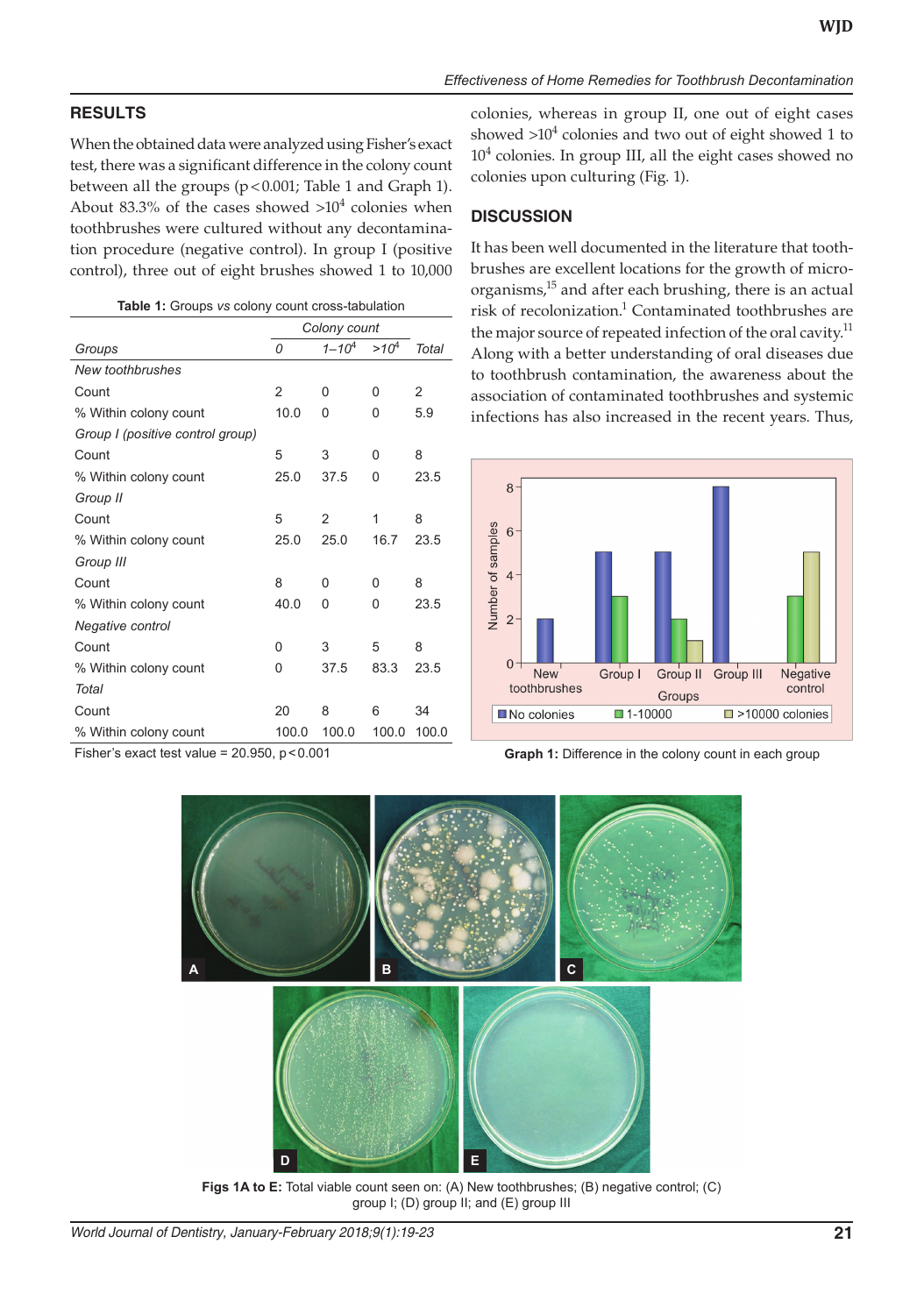# **RESULTS**

When the obtained data were analyzed using Fisher's exact test, there was a significant difference in the colony count between all the groups (p<0.001; Table 1 and Graph 1). About 83.3% of the cases showed  $>10^4$  colonies when toothbrushes were cultured without any decontamination procedure (negative control). In group I (positive control), three out of eight brushes showed 1 to 10,000

| Table 1: Groups vs colony count cross-tabulation |  |  |  |  |  |
|--------------------------------------------------|--|--|--|--|--|
|--------------------------------------------------|--|--|--|--|--|

|                                  | Colony count |                |           |       |
|----------------------------------|--------------|----------------|-----------|-------|
| Groups                           | 0            | $1 - 104$      | $>10^{4}$ | Total |
| New toothbrushes                 |              |                |           |       |
| Count                            | 2            | 0              | 0         | 2     |
| % Within colony count            | 10.0         | 0              | 0         | 5.9   |
| Group I (positive control group) |              |                |           |       |
| Count                            | 5            | 3              | 0         | 8     |
| % Within colony count            | 25.0         | 37.5           | 0         | 23.5  |
| Group II                         |              |                |           |       |
| Count                            | 5            | $\mathfrak{p}$ | 1         | 8     |
| % Within colony count            | 25.0         | 25.0           | 16.7      | 23.5  |
| Group III                        |              |                |           |       |
| Count                            | 8            | 0              | 0         | 8     |
| % Within colony count            | 40.0         | 0              | 0         | 23.5  |
| Negative control                 |              |                |           |       |
| Count                            | 0            | 3              | 5         | 8     |
| % Within colony count            | 0            | 37.5           | 83.3      | 23.5  |
| Total                            |              |                |           |       |
| Count                            | 20           | 8              | 6         | 34    |
| % Within colony count            | 100.0        | 100.0          | 100.0     | 100.0 |

colonies, whereas in group II, one out of eight cases showed  $>10^4$  colonies and two out of eight showed 1 to 10<sup>4</sup> colonies. In group III, all the eight cases showed no colonies upon culturing (Fig. 1).

## **DISCUSSION**

It has been well documented in the literature that toothbrushes are excellent locations for the growth of microorganisms,<sup>15</sup> and after each brushing, there is an actual risk of recolonization.<sup>1</sup> Contaminated toothbrushes are the major source of repeated infection of the oral cavity.<sup>11</sup> Along with a better understanding of oral diseases due to toothbrush contamination, the awareness about the association of contaminated toothbrushes and systemic infections has also increased in the recent years. Thus,



Fisher's exact test value = 20.950, p<0.001 **Graph 1:** Difference in the colony count in each group



**Figs 1A to E:** Total viable count seen on: (A) New toothbrushes; (B) negative control; (C) group I; (D) group II; and (E) group III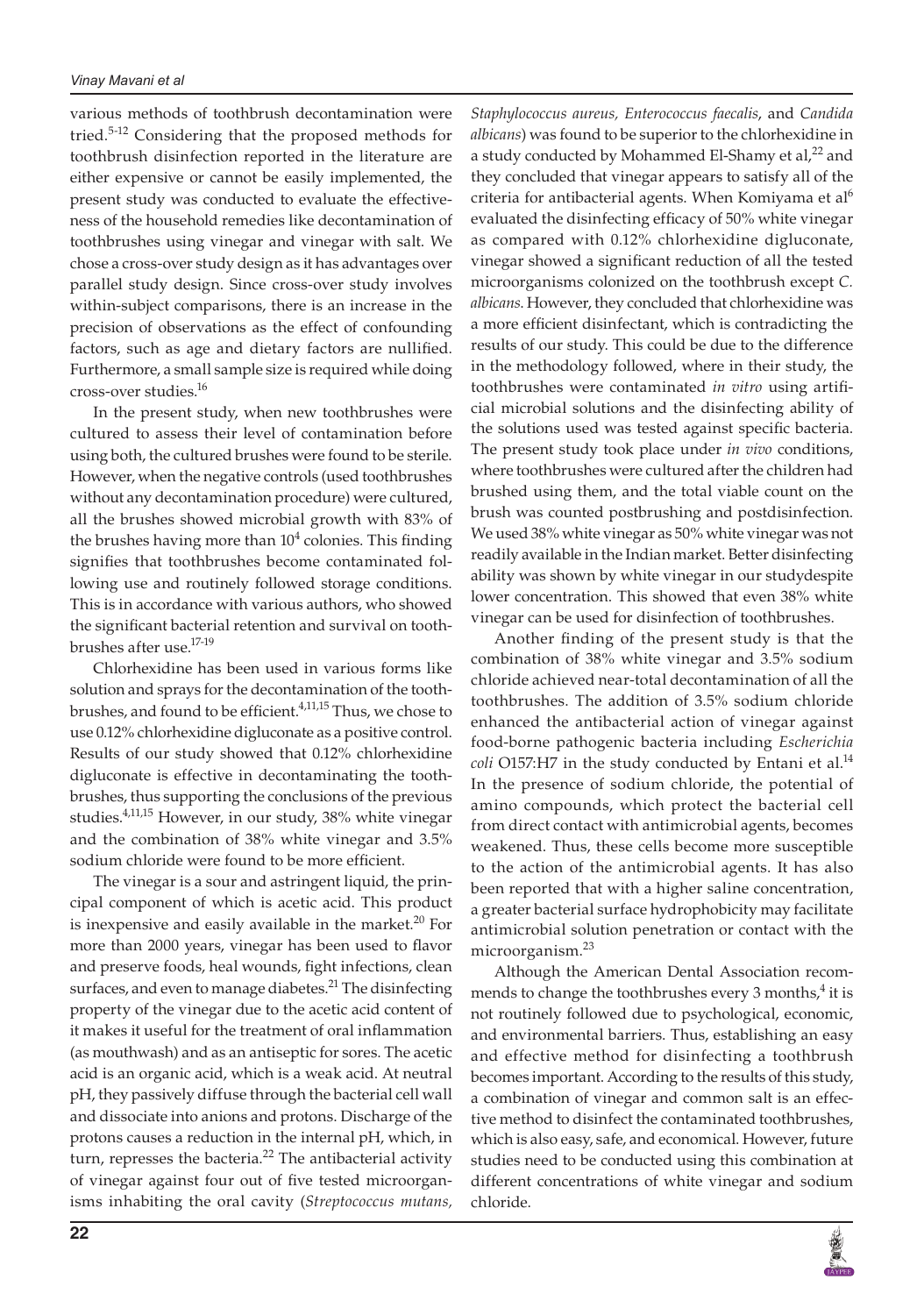various methods of toothbrush decontamination were tried.<sup>5-12</sup> Considering that the proposed methods for toothbrush disinfection reported in the literature are either expensive or cannot be easily implemented, the present study was conducted to evaluate the effectiveness of the household remedies like decontamination of toothbrushes using vinegar and vinegar with salt. We chose a cross-over study design as it has advantages over parallel study design. Since cross-over study involves within-subject comparisons, there is an increase in the precision of observations as the effect of confounding factors, such as age and dietary factors are nullified. Furthermore, a small sample size is required while doing cross-over studies.16

In the present study, when new toothbrushes were cultured to assess their level of contamination before using both, the cultured brushes were found to be sterile. However, when the negative controls (used toothbrushes without any decontamination procedure) were cultured, all the brushes showed microbial growth with 83% of the brushes having more than  $10^4$  colonies. This finding signifies that toothbrushes become contaminated following use and routinely followed storage conditions. This is in accordance with various authors, who showed the significant bacterial retention and survival on toothbrushes after use.17-19

Chlorhexidine has been used in various forms like solution and sprays for the decontamination of the toothbrushes, and found to be efficient.<sup>4,11,15</sup> Thus, we chose to use 0.12% chlorhexidine digluconate as a positive control. Results of our study showed that 0.12% chlorhexidine digluconate is effective in decontaminating the toothbrushes, thus supporting the conclusions of the previous studies.<sup>4,11,15</sup> However, in our study, 38% white vinegar and the combination of 38% white vinegar and 3.5% sodium chloride were found to be more efficient.

The vinegar is a sour and astringent liquid, the principal component of which is acetic acid. This product is inexpensive and easily available in the market. $20$  For more than 2000 years, vinegar has been used to flavor and preserve foods, heal wounds, fight infections, clean surfaces, and even to manage diabetes.<sup>21</sup> The disinfecting property of the vinegar due to the acetic acid content of it makes it useful for the treatment of oral inflammation (as mouthwash) and as an antiseptic for sores. The acetic acid is an organic acid, which is a weak acid. At neutral pH, they passively diffuse through the bacterial cell wall and dissociate into anions and protons. Discharge of the protons causes a reduction in the internal pH, which, in turn, represses the bacteria.<sup>22</sup> The antibacterial activity of vinegar against four out of five tested microorganisms inhabiting the oral cavity (*Streptococcus mutans,*

*Staphylococcus aureus, Enterococcus faecalis*, and *Candida albicans*) was found to be superior to the chlorhexidine in a study conducted by Mohammed El-Shamy et al,<sup>22</sup> and they concluded that vinegar appears to satisfy all of the criteria for antibacterial agents. When Komiyama et al<sup>6</sup> evaluated the disinfecting efficacy of 50% white vinegar as compared with 0.12% chlorhexidine digluconate, vinegar showed a significant reduction of all the tested microorganisms colonized on the toothbrush except *C. albicans*. However, they concluded that chlorhexidine was a more efficient disinfectant, which is contradicting the results of our study. This could be due to the difference in the methodology followed, where in their study, the toothbrushes were contaminated *in vitro* using artificial microbial solutions and the disinfecting ability of the solutions used was tested against specific bacteria. The present study took place under *in vivo* conditions, where toothbrushes were cultured after the children had brushed using them, and the total viable count on the brush was counted postbrushing and postdisinfection. We used 38% white vinegar as 50% white vinegar was not readily available in the Indian market. Better disinfecting ability was shown by white vinegar in our studydespite lower concentration. This showed that even 38% white vinegar can be used for disinfection of toothbrushes.

Another finding of the present study is that the combination of 38% white vinegar and 3.5% sodium chloride achieved near-total decontamination of all the toothbrushes. The addition of 3.5% sodium chloride enhanced the antibacterial action of vinegar against food-borne pathogenic bacteria including *Escherichia coli* O157:H7 in the study conducted by Entani et al.<sup>14</sup> In the presence of sodium chloride, the potential of amino compounds, which protect the bacterial cell from direct contact with antimicrobial agents, becomes weakened. Thus, these cells become more susceptible to the action of the antimicrobial agents. It has also been reported that with a higher saline concentration, a greater bacterial surface hydrophobicity may facilitate antimicrobial solution penetration or contact with the microorganism.<sup>23</sup>

Although the American Dental Association recommends to change the toothbrushes every 3 months, $^{4}$  it is not routinely followed due to psychological, economic, and environmental barriers. Thus, establishing an easy and effective method for disinfecting a toothbrush becomes important. According to the results of this study, a combination of vinegar and common salt is an effective method to disinfect the contaminated toothbrushes, which is also easy, safe, and economical. However, future studies need to be conducted using this combination at different concentrations of white vinegar and sodium chloride.